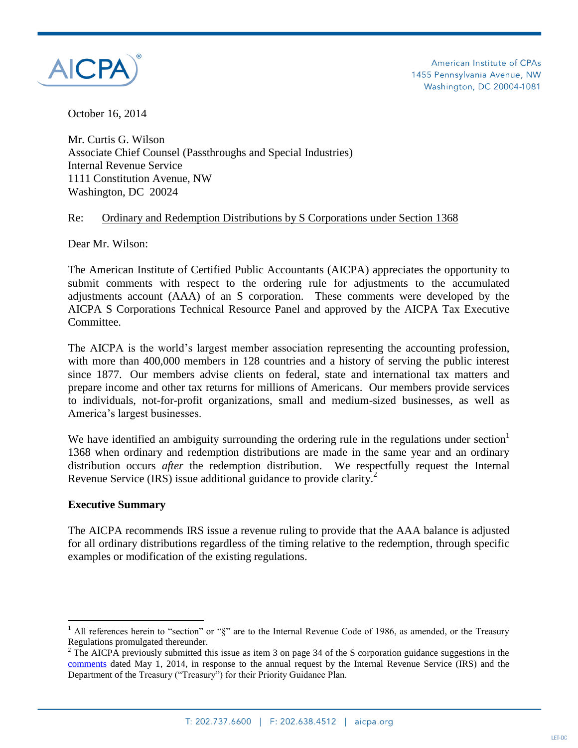

American Institute of CPAs 1455 Pennsylvania Avenue, NW Washington, DC 20004-1081

October 16, 2014

Mr. Curtis G. Wilson Associate Chief Counsel (Passthroughs and Special Industries) Internal Revenue Service 1111 Constitution Avenue, NW Washington, DC 20024

## Re: Ordinary and Redemption Distributions by S Corporations under Section 1368

Dear Mr. Wilson:

The American Institute of Certified Public Accountants (AICPA) appreciates the opportunity to submit comments with respect to the ordering rule for adjustments to the accumulated adjustments account (AAA) of an S corporation. These comments were developed by the AICPA S Corporations Technical Resource Panel and approved by the AICPA Tax Executive Committee.

The AICPA is the world's largest member association representing the accounting profession, with more than 400,000 members in 128 countries and a history of serving the public interest since 1877. Our members advise clients on federal, state and international tax matters and prepare income and other tax returns for millions of Americans. Our members provide services to individuals, not-for-profit organizations, small and medium-sized businesses, as well as America's largest businesses.

We have identified an ambiguity surrounding the ordering rule in the regulations under section $<sup>1</sup>$ </sup> 1368 when ordinary and redemption distributions are made in the same year and an ordinary distribution occurs *after* the redemption distribution. We respectfully request the Internal Revenue Service (IRS) issue additional guidance to provide clarity.<sup>2</sup>

#### **Executive Summary**

 $\overline{a}$ 

The AICPA recommends IRS issue a revenue ruling to provide that the AAA balance is adjusted for all ordinary distributions regardless of the timing relative to the redemption, through specific examples or modification of the existing regulations.

<sup>&</sup>lt;sup>1</sup> All references herein to "section" or " $\S$ " are to the Internal Revenue Code of 1986, as amended, or the Treasury Regulations promulgated thereunder.

<sup>&</sup>lt;sup>2</sup> The AICPA previously submitted this issue as item 3 on page 34 of the S corporation guidance suggestions in the [comments](http://www.aicpa.org/Advocacy/Tax/IRSPracticeProcedure/DownloadableDocuments/AICPA%27s%20Comments%20on%202014%20-%202015%20Guidance%20Priority%20List%20Final.pdf) dated May 1, 2014, in response to the annual request by the Internal Revenue Service (IRS) and the Department of the Treasury ("Treasury") for their Priority Guidance Plan.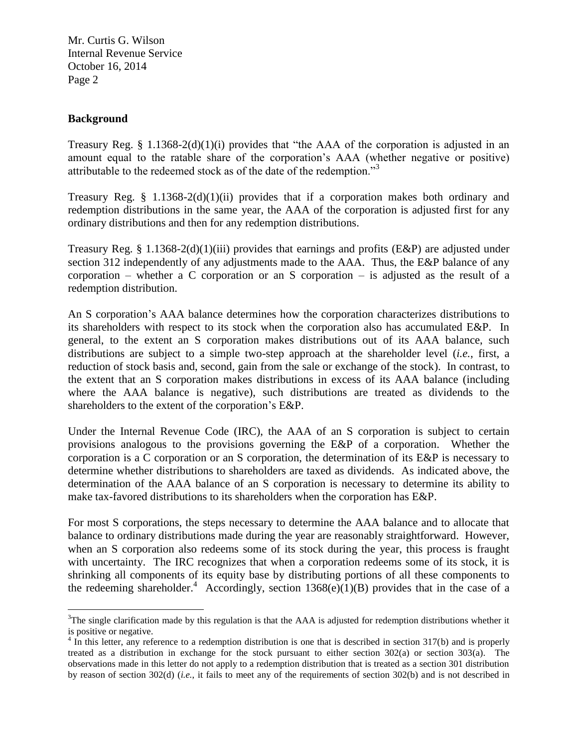# **Background**

 $\overline{a}$ 

Treasury Reg. § 1.1368-2(d)(1)(i) provides that "the AAA of the corporation is adjusted in an amount equal to the ratable share of the corporation's AAA (whether negative or positive) attributable to the redeemed stock as of the date of the redemption."<sup>3</sup>

Treasury Reg. § 1.1368-2(d)(1)(ii) provides that if a corporation makes both ordinary and redemption distributions in the same year, the AAA of the corporation is adjusted first for any ordinary distributions and then for any redemption distributions.

Treasury Reg. § 1.1368-2(d)(1)(iii) provides that earnings and profits (E&P) are adjusted under section 312 independently of any adjustments made to the AAA. Thus, the E&P balance of any corporation – whether a C corporation or an S corporation – is adjusted as the result of a redemption distribution.

An S corporation's AAA balance determines how the corporation characterizes distributions to its shareholders with respect to its stock when the corporation also has accumulated E&P. In general, to the extent an S corporation makes distributions out of its AAA balance, such distributions are subject to a simple two-step approach at the shareholder level (*i.e.*, first, a reduction of stock basis and, second, gain from the sale or exchange of the stock). In contrast, to the extent that an S corporation makes distributions in excess of its AAA balance (including where the AAA balance is negative), such distributions are treated as dividends to the shareholders to the extent of the corporation's E&P.

Under the Internal Revenue Code (IRC), the AAA of an S corporation is subject to certain provisions analogous to the provisions governing the E&P of a corporation. Whether the corporation is a C corporation or an S corporation, the determination of its E&P is necessary to determine whether distributions to shareholders are taxed as dividends. As indicated above, the determination of the AAA balance of an S corporation is necessary to determine its ability to make tax-favored distributions to its shareholders when the corporation has E&P.

For most S corporations, the steps necessary to determine the AAA balance and to allocate that balance to ordinary distributions made during the year are reasonably straightforward. However, when an S corporation also redeems some of its stock during the year, this process is fraught with uncertainty. The IRC recognizes that when a corporation redeems some of its stock, it is shrinking all components of its equity base by distributing portions of all these components to the redeeming shareholder.<sup>4</sup> Accordingly, section 1368(e)(1)(B) provides that in the case of a

 $3$ The single clarification made by this regulation is that the AAA is adjusted for redemption distributions whether it is positive or negative.

 $4 \text{ In this letter, any reference to a redemption distribution is one that is described in section 317(b) and is properly.}$ treated as a distribution in exchange for the stock pursuant to either section 302(a) or section 303(a). The observations made in this letter do not apply to a redemption distribution that is treated as a section 301 distribution by reason of section 302(d) (*i.e.*, it fails to meet any of the requirements of section 302(b) and is not described in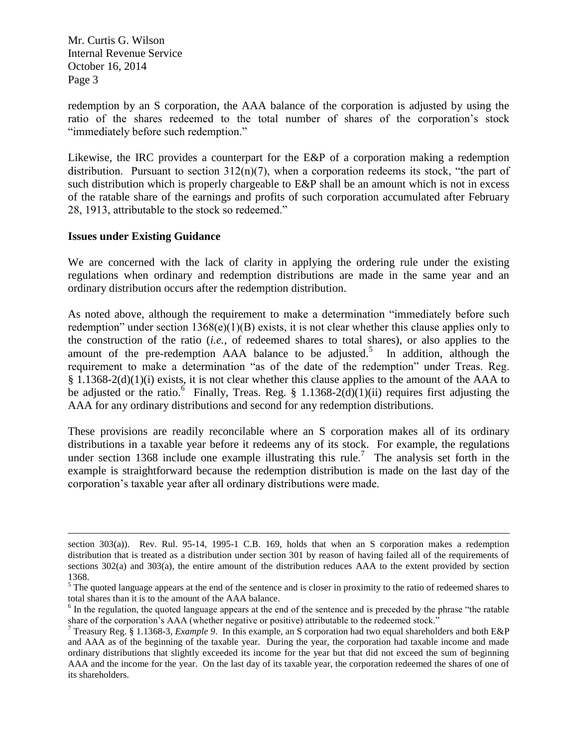redemption by an S corporation, the AAA balance of the corporation is adjusted by using the ratio of the shares redeemed to the total number of shares of the corporation's stock "immediately before such redemption."

Likewise, the IRC provides a counterpart for the E&P of a corporation making a redemption distribution. Pursuant to section  $312(n)(7)$ , when a corporation redeems its stock, "the part of such distribution which is properly chargeable to E&P shall be an amount which is not in excess of the ratable share of the earnings and profits of such corporation accumulated after February 28, 1913, attributable to the stock so redeemed."

## **Issues under Existing Guidance**

 $\overline{a}$ 

We are concerned with the lack of clarity in applying the ordering rule under the existing regulations when ordinary and redemption distributions are made in the same year and an ordinary distribution occurs after the redemption distribution.

As noted above, although the requirement to make a determination "immediately before such redemption" under section 1368(e)(1)(B) exists, it is not clear whether this clause applies only to the construction of the ratio (*i.e.*, of redeemed shares to total shares), or also applies to the amount of the pre-redemption AAA balance to be adjusted.<sup>5</sup> In addition, although the requirement to make a determination "as of the date of the redemption" under Treas. Reg. § 1.1368-2(d)(1)(i) exists, it is not clear whether this clause applies to the amount of the AAA to be adjusted or the ratio. Finally, Treas. Reg. § 1.1368-2(d)(1)(ii) requires first adjusting the AAA for any ordinary distributions and second for any redemption distributions.

These provisions are readily reconcilable where an S corporation makes all of its ordinary distributions in a taxable year before it redeems any of its stock. For example, the regulations under section 1368 include one example illustrating this rule.<sup>7</sup> The analysis set forth in the example is straightforward because the redemption distribution is made on the last day of the corporation's taxable year after all ordinary distributions were made.

section 303(a)). Rev. Rul. 95-14, 1995-1 C.B. 169, holds that when an S corporation makes a redemption distribution that is treated as a distribution under section 301 by reason of having failed all of the requirements of sections 302(a) and 303(a), the entire amount of the distribution reduces AAA to the extent provided by section 1368.

<sup>&</sup>lt;sup>5</sup> The quoted language appears at the end of the sentence and is closer in proximity to the ratio of redeemed shares to total shares than it is to the amount of the AAA balance.

 $6$  In the regulation, the quoted language appears at the end of the sentence and is preceded by the phrase "the ratable" share of the corporation's AAA (whether negative or positive) attributable to the redeemed stock."

<sup>7</sup> Treasury Reg. § 1.1368-3, *Example 9*. In this example, an S corporation had two equal shareholders and both E&P and AAA as of the beginning of the taxable year. During the year, the corporation had taxable income and made ordinary distributions that slightly exceeded its income for the year but that did not exceed the sum of beginning AAA and the income for the year. On the last day of its taxable year, the corporation redeemed the shares of one of its shareholders.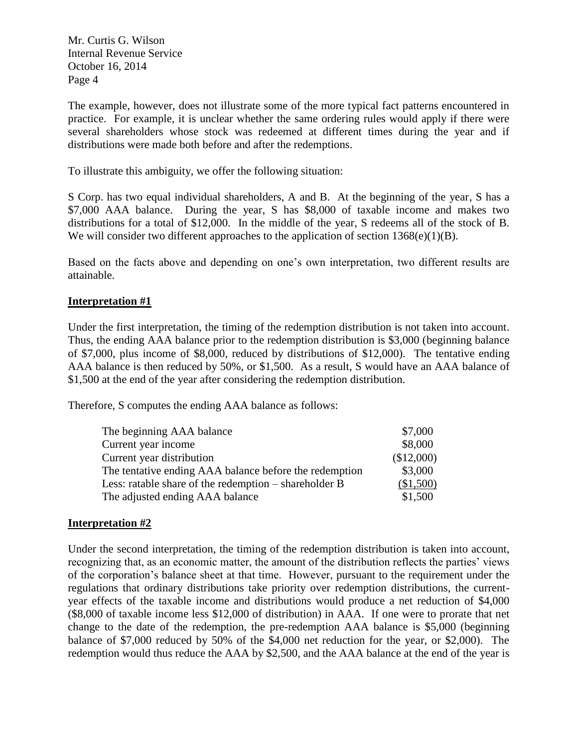The example, however, does not illustrate some of the more typical fact patterns encountered in practice. For example, it is unclear whether the same ordering rules would apply if there were several shareholders whose stock was redeemed at different times during the year and if distributions were made both before and after the redemptions.

To illustrate this ambiguity, we offer the following situation:

S Corp. has two equal individual shareholders, A and B. At the beginning of the year, S has a \$7,000 AAA balance. During the year, S has \$8,000 of taxable income and makes two distributions for a total of \$12,000. In the middle of the year, S redeems all of the stock of B. We will consider two different approaches to the application of section  $1368(e)(1)(B)$ .

Based on the facts above and depending on one's own interpretation, two different results are attainable.

# **Interpretation #1**

Under the first interpretation, the timing of the redemption distribution is not taken into account. Thus, the ending AAA balance prior to the redemption distribution is \$3,000 (beginning balance of \$7,000, plus income of \$8,000, reduced by distributions of \$12,000). The tentative ending AAA balance is then reduced by 50%, or \$1,500. As a result, S would have an AAA balance of \$1,500 at the end of the year after considering the redemption distribution.

Therefore, S computes the ending AAA balance as follows:

| The beginning AAA balance                              | \$7,000    |
|--------------------------------------------------------|------------|
| Current year income                                    | \$8,000    |
| Current year distribution                              | (\$12,000) |
| The tentative ending AAA balance before the redemption | \$3,000    |
| Less: ratable share of the redemption – shareholder B  | (\$1,500)  |
| The adjusted ending AAA balance                        | \$1,500    |

## **Interpretation #2**

Under the second interpretation, the timing of the redemption distribution is taken into account, recognizing that, as an economic matter, the amount of the distribution reflects the parties' views of the corporation's balance sheet at that time. However, pursuant to the requirement under the regulations that ordinary distributions take priority over redemption distributions, the currentyear effects of the taxable income and distributions would produce a net reduction of \$4,000 (\$8,000 of taxable income less \$12,000 of distribution) in AAA. If one were to prorate that net change to the date of the redemption, the pre-redemption AAA balance is \$5,000 (beginning balance of \$7,000 reduced by 50% of the \$4,000 net reduction for the year, or \$2,000). The redemption would thus reduce the AAA by \$2,500, and the AAA balance at the end of the year is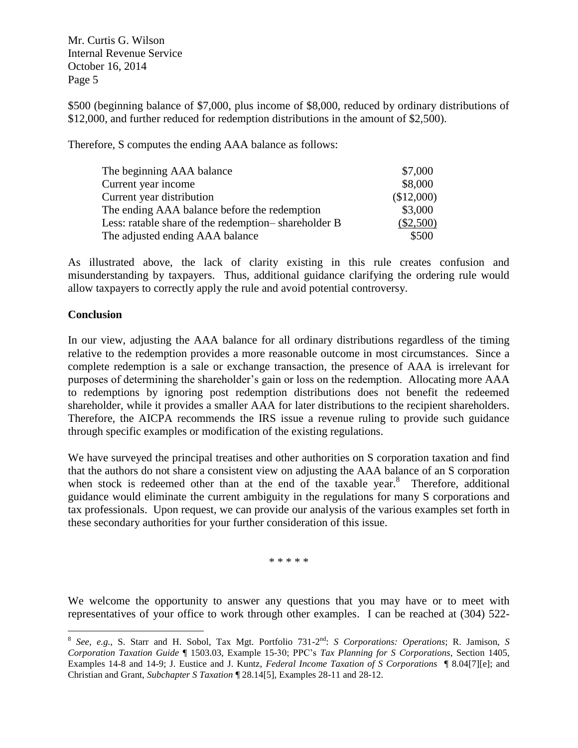\$500 (beginning balance of \$7,000, plus income of \$8,000, reduced by ordinary distributions of \$12,000, and further reduced for redemption distributions in the amount of \$2,500).

Therefore, S computes the ending AAA balance as follows:

| The beginning AAA balance                           | \$7,000     |
|-----------------------------------------------------|-------------|
| Current year income                                 | \$8,000     |
| Current year distribution                           | (\$12,000)  |
| The ending AAA balance before the redemption        | \$3,000     |
| Less: ratable share of the redemption-shareholder B | $(\$2,500)$ |
| The adjusted ending AAA balance                     | \$500       |

As illustrated above, the lack of clarity existing in this rule creates confusion and misunderstanding by taxpayers. Thus, additional guidance clarifying the ordering rule would allow taxpayers to correctly apply the rule and avoid potential controversy.

## **Conclusion**

 $\overline{a}$ 

In our view, adjusting the AAA balance for all ordinary distributions regardless of the timing relative to the redemption provides a more reasonable outcome in most circumstances. Since a complete redemption is a sale or exchange transaction, the presence of AAA is irrelevant for purposes of determining the shareholder's gain or loss on the redemption. Allocating more AAA to redemptions by ignoring post redemption distributions does not benefit the redeemed shareholder, while it provides a smaller AAA for later distributions to the recipient shareholders. Therefore, the AICPA recommends the IRS issue a revenue ruling to provide such guidance through specific examples or modification of the existing regulations.

We have surveyed the principal treatises and other authorities on S corporation taxation and find that the authors do not share a consistent view on adjusting the AAA balance of an S corporation when stock is redeemed other than at the end of the taxable year.<sup>8</sup> Therefore, additional guidance would eliminate the current ambiguity in the regulations for many S corporations and tax professionals. Upon request, we can provide our analysis of the various examples set forth in these secondary authorities for your further consideration of this issue.

\* \* \* \* \*

We welcome the opportunity to answer any questions that you may have or to meet with representatives of your office to work through other examples. I can be reached at (304) 522-

<sup>8</sup> *See*, *e.g.*, S. Starr and H. Sobol, Tax Mgt. Portfolio 731-2 nd: *S Corporations: Operations*; R. Jamison, *S Corporation Taxation Guide* ¶ 1503.03, Example 15-30; PPC's *Tax Planning for S Corporations*, Section 1405, Examples 14-8 and 14-9; J. Eustice and J. Kuntz, *Federal Income Taxation of S Corporations* ¶ 8.04[7][e]; and Christian and Grant, *Subchapter S Taxation* ¶ 28.14[5], Examples 28-11 and 28-12.